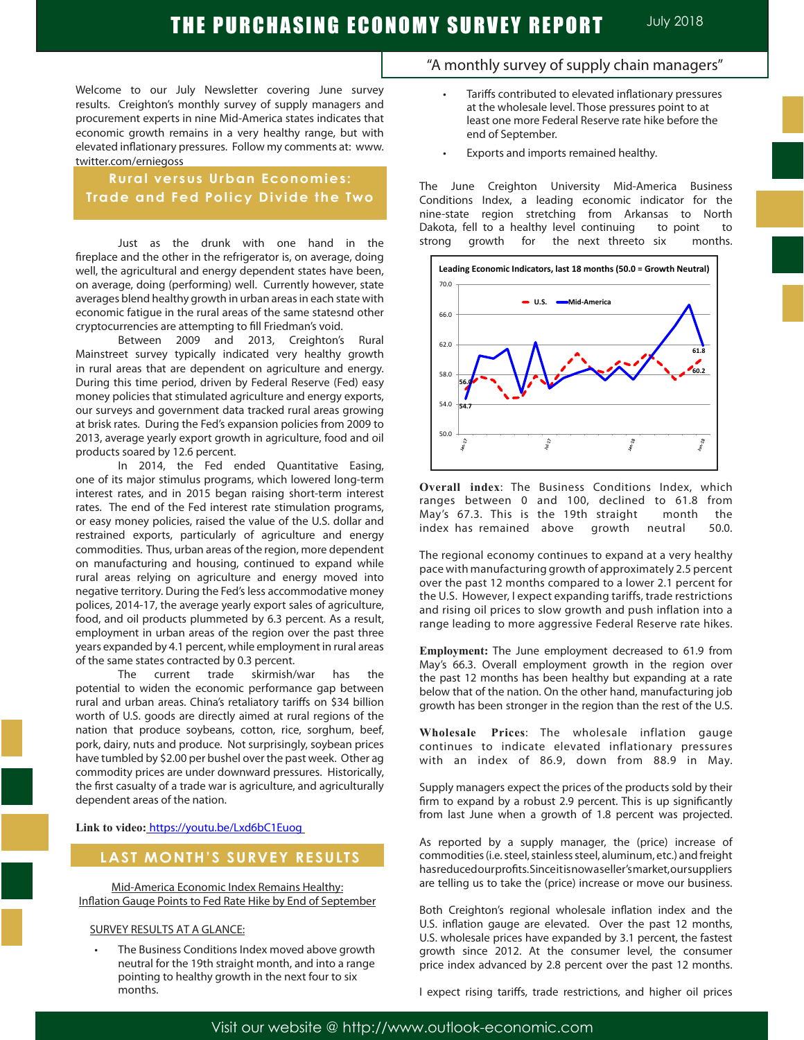Welcome to our July Newsletter covering June survey results. Creighton's monthly survey of supply managers and procurement experts in nine Mid-America states indicates that economic growth remains in a very healthy range, but with elevated inflationary pressures. Follow my comments at: www. twitter.com/erniegoss

## **Rural versus Urban Economies: Trade and Fed Policy Divide the Two**

Just as the drunk with one hand in the fireplace and the other in the refrigerator is, on average, doing well, the agricultural and energy dependent states have been, on average, doing (performing) well. Currently however, state averages blend healthy growth in urban areas in each state with economic fatigue in the rural areas of the same statesnd other cryptocurrencies are attempting to fill Friedman's void.

Between 2009 and 2013, Creighton's Rural Mainstreet survey typically indicated very healthy growth in rural areas that are dependent on agriculture and energy. During this time period, driven by Federal Reserve (Fed) easy money policies that stimulated agriculture and energy exports, our surveys and government data tracked rural areas growing at brisk rates. During the Fed's expansion policies from 2009 to 2013, average yearly export growth in agriculture, food and oil products soared by 12.6 percent.

In 2014, the Fed ended Quantitative Easing, one of its major stimulus programs, which lowered long-term interest rates, and in 2015 began raising short-term interest rates. The end of the Fed interest rate stimulation programs, or easy money policies, raised the value of the U.S. dollar and restrained exports, particularly of agriculture and energy commodities. Thus, urban areas of the region, more dependent on manufacturing and housing, continued to expand while rural areas relying on agriculture and energy moved into negative territory. During the Fed's less accommodative money polices, 2014-17, the average yearly export sales of agriculture, food, and oil products plummeted by 6.3 percent. As a result, employment in urban areas of the region over the past three years expanded by 4.1 percent, while employment in rural areas of the same states contracted by 0.3 percent.

The current trade skirmish/war has the potential to widen the economic performance gap between rural and urban areas. China's retaliatory tariffs on \$34 billion worth of U.S. goods are directly aimed at rural regions of the nation that produce soybeans, cotton, rice, sorghum, beef, pork, dairy, nuts and produce. Not surprisingly, soybean prices have tumbled by \$2.00 per bushel over the past week. Other ag commodity prices are under downward pressures. Historically, the first casualty of a trade war is agriculture, and agriculturally dependent areas of the nation.

#### **Link to video:** https://youtu.be/Lxd6bC1Euog

#### **LAST MONTH'S SURVEY RESULTS**

Mid-America Economic Index Remains Healthy: Inflation Gauge Points to Fed Rate Hike by End of September

#### SURVEY RESULTS AT A GLANCE:

The Business Conditions Index moved above growth neutral for the 19th straight month, and into a range pointing to healthy growth in the next four to six months.

## "A monthly survey of supply chain managers"

- Tariffs contributed to elevated inflationary pressures at the wholesale level. Those pressures point to at least one more Federal Reserve rate hike before the end of September.
- Exports and imports remained healthy.

The June Creighton University Mid-America Business Conditions Index, a leading economic indicator for the nine-state region stretching from Arkansas to North Dakota, fell to a healthy level continuing to point to strong growth for the next threeto six months.



**Overall index**: The Business Conditions Index, which ranges between 0 and 100, declined to 61.8 from May's 67.3. This is the 19th straight month the index has remained above growth neutral 50.0.

The regional economy continues to expand at a very healthy pace with manufacturing growth of approximately 2.5 percent over the past 12 months compared to a lower 2.1 percent for the U.S. However, I expect expanding tariffs, trade restrictions and rising oil prices to slow growth and push inflation into a range leading to more aggressive Federal Reserve rate hikes.

**Employment:** The June employment decreased to 61.9 from May's 66.3. Overall employment growth in the region over the past 12 months has been healthy but expanding at a rate below that of the nation. On the other hand, manufacturing job growth has been stronger in the region than the rest of the U.S.

**Wholesale Prices**: The wholesale inflation gauge continues to indicate elevated inflationary pressures with an index of 86.9, down from 88.9 in May.

Supply managers expect the prices of the products sold by their firm to expand by a robust 2.9 percent. This is up significantly from last June when a growth of 1.8 percent was projected.

As reported by a supply manager, the (price) increase of commodities (i.e. steel, stainless steel, aluminum, etc.) and freight has reduced our profits. Since it is now a seller's market, our suppliers are telling us to take the (price) increase or move our business.

Both Creighton's regional wholesale inflation index and the U.S. inflation gauge are elevated. Over the past 12 months, U.S. wholesale prices have expanded by 3.1 percent, the fastest growth since 2012. At the consumer level, the consumer price index advanced by 2.8 percent over the past 12 months.

I expect rising tariffs, trade restrictions, and higher oil prices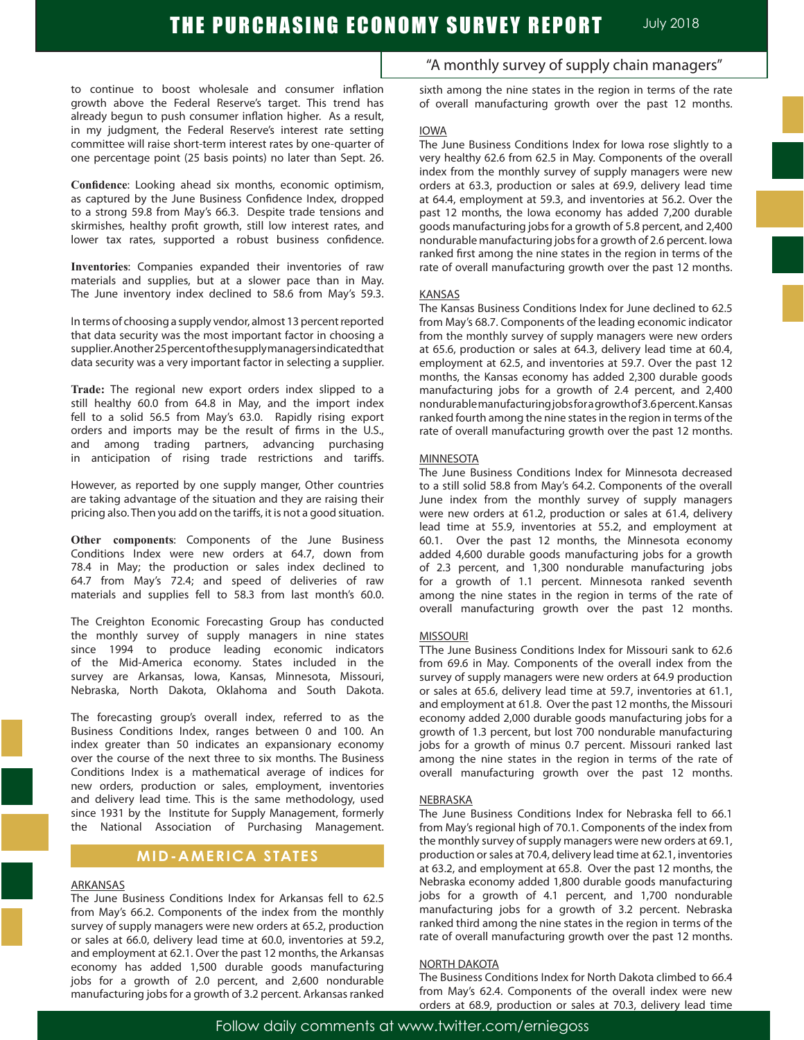to continue to boost wholesale and consumer inflation growth above the Federal Reserve's target. This trend has already begun to push consumer inflation higher. As a result, in my judgment, the Federal Reserve's interest rate setting committee will raise short-term interest rates by one-quarter of one percentage point (25 basis points) no later than Sept. 26.

**Confidence**: Looking ahead six months, economic optimism, as captured by the June Business Confidence Index, dropped to a strong 59.8 from May's 66.3. Despite trade tensions and skirmishes, healthy profit growth, still low interest rates, and lower tax rates, supported a robust business confidence.

**Inventories**: Companies expanded their inventories of raw materials and supplies, but at a slower pace than in May. The June inventory index declined to 58.6 from May's 59.3.

In terms of choosing a supply vendor, almost 13 percent reported that data security was the most important factor in choosing a supplier. Another 25 percent of the supply managers indicated that data security was a very important factor in selecting a supplier.

**Trade:** The regional new export orders index slipped to a still healthy 60.0 from 64.8 in May, and the import index fell to a solid 56.5 from May's 63.0. Rapidly rising export orders and imports may be the result of firms in the U.S., and among trading partners, advancing purchasing in anticipation of rising trade restrictions and tariffs.

However, as reported by one supply manger, Other countries are taking advantage of the situation and they are raising their pricing also. Then you add on the tariffs, it is not a good situation.

**Other components**: Components of the June Business Conditions Index were new orders at 64.7, down from 78.4 in May; the production or sales index declined to 64.7 from May's 72.4; and speed of deliveries of raw materials and supplies fell to 58.3 from last month's 60.0.

The Creighton Economic Forecasting Group has conducted the monthly survey of supply managers in nine states since 1994 to produce leading economic indicators of the Mid-America economy. States included in the survey are Arkansas, Iowa, Kansas, Minnesota, Missouri, Nebraska, North Dakota, Oklahoma and South Dakota.

The forecasting group's overall index, referred to as the Business Conditions Index, ranges between 0 and 100. An index greater than 50 indicates an expansionary economy over the course of the next three to six months. The Business Conditions Index is a mathematical average of indices for new orders, production or sales, employment, inventories and delivery lead time. This is the same methodology, used since 1931 by the Institute for Supply Management, formerly the National Association of Purchasing Management.

## **MID-AMERICA STATES**

#### ARKANSAS

The June Business Conditions Index for Arkansas fell to 62.5 from May's 66.2. Components of the index from the monthly survey of supply managers were new orders at 65.2, production or sales at 66.0, delivery lead time at 60.0, inventories at 59.2, and employment at 62.1. Over the past 12 months, the Arkansas economy has added 1,500 durable goods manufacturing jobs for a growth of 2.0 percent, and 2,600 nondurable manufacturing jobs for a growth of 3.2 percent. Arkansas ranked

"A monthly survey of supply chain managers"

sixth among the nine states in the region in terms of the rate of overall manufacturing growth over the past 12 months.

#### IOWA

The June Business Conditions Index for Iowa rose slightly to a very healthy 62.6 from 62.5 in May. Components of the overall index from the monthly survey of supply managers were new orders at 63.3, production or sales at 69.9, delivery lead time at 64.4, employment at 59.3, and inventories at 56.2. Over the past 12 months, the Iowa economy has added 7,200 durable goods manufacturing jobs for a growth of 5.8 percent, and 2,400 nondurable manufacturing jobs for a growth of 2.6 percent. Iowa ranked first among the nine states in the region in terms of the rate of overall manufacturing growth over the past 12 months.

#### KANSAS

The Kansas Business Conditions Index for June declined to 62.5 from May's 68.7. Components of the leading economic indicator from the monthly survey of supply managers were new orders at 65.6, production or sales at 64.3, delivery lead time at 60.4, employment at 62.5, and inventories at 59.7. Over the past 12 months, the Kansas economy has added 2,300 durable goods manufacturing jobs for a growth of 2.4 percent, and 2,400 nondurable manufacturing jobs for a growth of 3.6 percent. Kansas ranked fourth among the nine states in the region in terms of the rate of overall manufacturing growth over the past 12 months.

#### **MINNESOTA**

The June Business Conditions Index for Minnesota decreased to a still solid 58.8 from May's 64.2. Components of the overall June index from the monthly survey of supply managers were new orders at 61.2, production or sales at 61.4, delivery lead time at 55.9, inventories at 55.2, and employment at 60.1. Over the past 12 months, the Minnesota economy added 4,600 durable goods manufacturing jobs for a growth of 2.3 percent, and 1,300 nondurable manufacturing jobs for a growth of 1.1 percent. Minnesota ranked seventh among the nine states in the region in terms of the rate of overall manufacturing growth over the past 12 months.

#### **MISSOURI**

TThe June Business Conditions Index for Missouri sank to 62.6 from 69.6 in May. Components of the overall index from the survey of supply managers were new orders at 64.9 production or sales at 65.6, delivery lead time at 59.7, inventories at 61.1, and employment at 61.8. Over the past 12 months, the Missouri economy added 2,000 durable goods manufacturing jobs for a growth of 1.3 percent, but lost 700 nondurable manufacturing jobs for a growth of minus 0.7 percent. Missouri ranked last among the nine states in the region in terms of the rate of overall manufacturing growth over the past 12 months.

#### NEBRASKA

The June Business Conditions Index for Nebraska fell to 66.1 from May's regional high of 70.1. Components of the index from the monthly survey of supply managers were new orders at 69.1, production or sales at 70.4, delivery lead time at 62.1, inventories at 63.2, and employment at 65.8. Over the past 12 months, the Nebraska economy added 1,800 durable goods manufacturing jobs for a growth of 4.1 percent, and 1,700 nondurable manufacturing jobs for a growth of 3.2 percent. Nebraska ranked third among the nine states in the region in terms of the rate of overall manufacturing growth over the past 12 months.

#### NORTH DAKOTA

The Business Conditions Index for North Dakota climbed to 66.4 from May's 62.4. Components of the overall index were new orders at 68.9, production or sales at 70.3, delivery lead time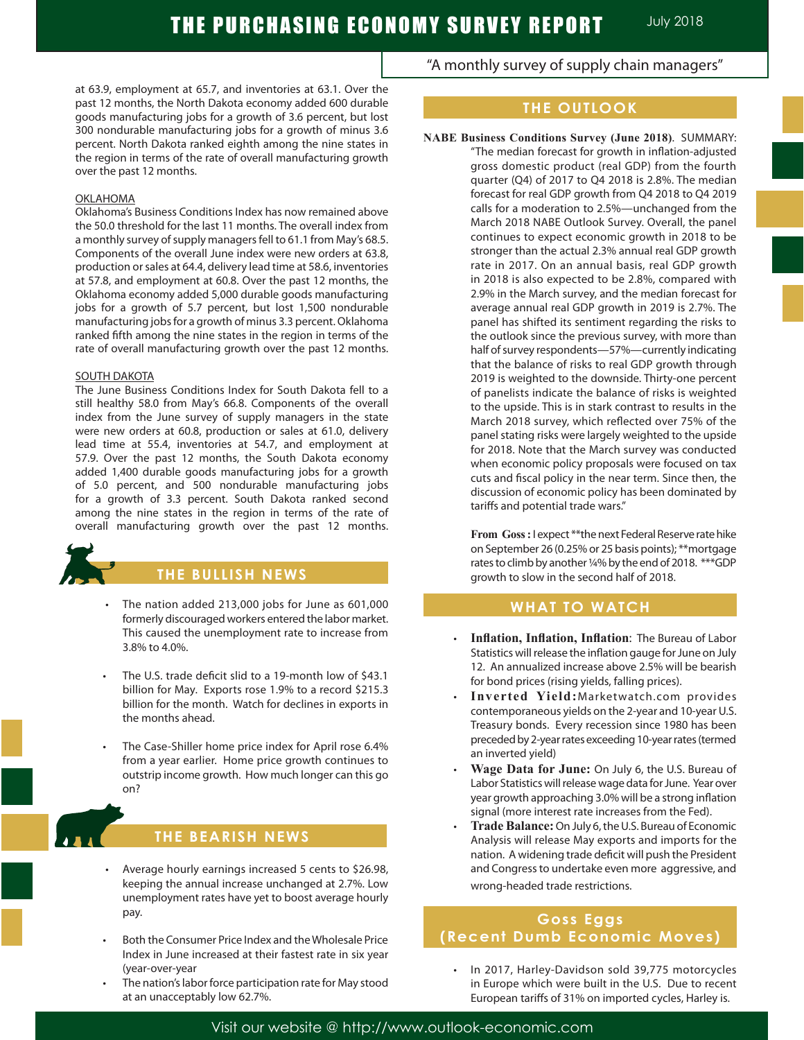at 63.9, employment at 65.7, and inventories at 63.1. Over the past 12 months, the North Dakota economy added 600 durable goods manufacturing jobs for a growth of 3.6 percent, but lost 300 nondurable manufacturing jobs for a growth of minus 3.6 percent. North Dakota ranked eighth among the nine states in the region in terms of the rate of overall manufacturing growth over the past 12 months.

#### **OKLAHOMA**

Oklahoma's Business Conditions Index has now remained above the 50.0 threshold for the last 11 months. The overall index from a monthly survey of supply managers fell to 61.1 from May's 68.5. Components of the overall June index were new orders at 63.8, production or sales at 64.4, delivery lead time at 58.6, inventories at 57.8, and employment at 60.8. Over the past 12 months, the Oklahoma economy added 5,000 durable goods manufacturing jobs for a growth of 5.7 percent, but lost 1,500 nondurable manufacturing jobs for a growth of minus 3.3 percent. Oklahoma ranked fifth among the nine states in the region in terms of the rate of overall manufacturing growth over the past 12 months.

#### SOUTH DAKOTA

The June Business Conditions Index for South Dakota fell to a still healthy 58.0 from May's 66.8. Components of the overall index from the June survey of supply managers in the state were new orders at 60.8, production or sales at 61.0, delivery lead time at 55.4, inventories at 54.7, and employment at 57.9. Over the past 12 months, the South Dakota economy added 1,400 durable goods manufacturing jobs for a growth of 5.0 percent, and 500 nondurable manufacturing jobs for a growth of 3.3 percent. South Dakota ranked second among the nine states in the region in terms of the rate of overall manufacturing growth over the past 12 months.



### **THE BULLISH NEWS**

- The nation added 213,000 jobs for June as 601,000 formerly discouraged workers entered the labor market. This caused the unemployment rate to increase from 3.8% to 4.0%.
- The U.S. trade deficit slid to a 19-month low of \$43.1 billion for May. Exports rose 1.9% to a record \$215.3 billion for the month. Watch for declines in exports in the months ahead.
- The Case-Shiller home price index for April rose 6.4% from a year earlier. Home price growth continues to outstrip income growth. How much longer can this go on?



## **THE BEARISH NEWS**

- Average hourly earnings increased 5 cents to \$26.98, keeping the annual increase unchanged at 2.7%. Low unemployment rates have yet to boost average hourly pay.
- Both the Consumer Price Index and the Wholesale Price Index in June increased at their fastest rate in six year (year-over-year
- The nation's labor force participation rate for May stood at an unacceptably low 62.7%.

"A monthly survey of supply chain managers"

## **THE OUTLOOK**

**NABE Business Conditions Survey (June 2018)**. SUMMARY:

"The median forecast for growth in inflation-adjusted gross domestic product (real GDP) from the fourth quarter (Q4) of 2017 to Q4 2018 is 2.8%. The median forecast for real GDP growth from Q4 2018 to Q4 2019 calls for a moderation to 2.5%—unchanged from the March 2018 NABE Outlook Survey. Overall, the panel continues to expect economic growth in 2018 to be stronger than the actual 2.3% annual real GDP growth rate in 2017. On an annual basis, real GDP growth in 2018 is also expected to be 2.8%, compared with 2.9% in the March survey, and the median forecast for average annual real GDP growth in 2019 is 2.7%. The panel has shifted its sentiment regarding the risks to the outlook since the previous survey, with more than half of survey respondents—57%—currently indicating that the balance of risks to real GDP growth through 2019 is weighted to the downside. Thirty-one percent of panelists indicate the balance of risks is weighted to the upside. This is in stark contrast to results in the March 2018 survey, which reflected over 75% of the panel stating risks were largely weighted to the upside for 2018. Note that the March survey was conducted when economic policy proposals were focused on tax cuts and fiscal policy in the near term. Since then, the discussion of economic policy has been dominated by tariffs and potential trade wars."

**From Goss :** I expect \*\*the next Federal Reserve rate hike on September 26 (0.25% or 25 basis points); \*\*mortgage rates to climb by another ¼% by the end of 2018. \*\*\*GDP growth to slow in the second half of 2018.

### **WHAT TO WATCH**

- • **Inflation, Inflation, Inflation**: The Bureau of Labor Statistics will release the inflation gauge for June on July 12. An annualized increase above 2.5% will be bearish for bond prices (rising yields, falling prices).
- Inverted Yield: Marketwatch.com provides contemporaneous yields on the 2-year and 10-year U.S. Treasury bonds. Every recession since 1980 has been preceded by 2-year rates exceeding 10-year rates (termed an inverted yield)
- **Wage Data for June:** On July 6, the U.S. Bureau of Labor Statistics will release wage data for June. Year over year growth approaching 3.0% will be a strong inflation signal (more interest rate increases from the Fed).
- Trade Balance: On July 6, the U.S. Bureau of Economic Analysis will release May exports and imports for the nation. A widening trade deficit will push the President and Congress to undertake even more aggressive, and wrong-headed trade restrictions.

## **Goss Eggs (Recent Dumb Economic Moves)**

In 2017, Harley-Davidson sold 39,775 motorcycles in Europe which were built in the U.S. Due to recent European tariffs of 31% on imported cycles, Harley is.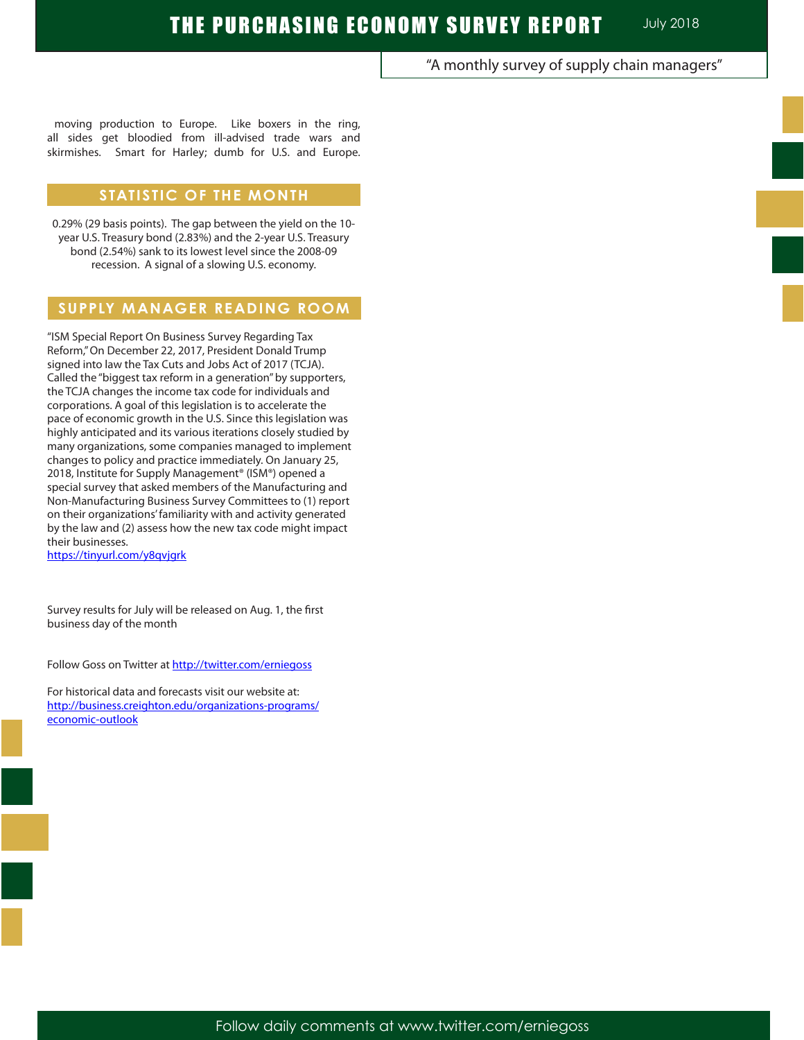"A monthly survey of supply chain managers"

moving production to Europe. Like boxers in the ring, all sides get bloodied from ill-advised trade wars and skirmishes. Smart for Harley; dumb for U.S. and Europe.

## **STATISTIC OF THE MONTH**

0.29% (29 basis points). The gap between the yield on the 10 year U.S. Treasury bond (2.83%) and the 2-year U.S. Treasury bond (2.54%) sank to its lowest level since the 2008-09 recession. A signal of a slowing U.S. economy.

## **SUPPLY MANAGER READING ROOM**

"ISM Special Report On Business Survey Regarding Tax Reform," On December 22, 2017, President Donald Trump signed into law the Tax Cuts and Jobs Act of 2017 (TCJA). Called the "biggest tax reform in a generation" by supporters, the TCJA changes the income tax code for individuals and corporations. A goal of this legislation is to accelerate the pace of economic growth in the U.S. Since this legislation was highly anticipated and its various iterations closely studied by many organizations, some companies managed to implement changes to policy and practice immediately. On January 25, 2018, Institute for Supply Management<sup>®</sup> (ISM®) opened a special survey that asked members of the Manufacturing and Non-Manufacturing Business Survey Committees to (1) report on their organizations' familiarity with and activity generated by the law and (2) assess how the new tax code might impact their businesses. https://tinyurl.com/y8qvjgrk

Survey results for July will be released on Aug. 1, the first business day of the month

Follow Goss on Twitter at http://twitter.com/erniegoss

For historical data and forecasts visit our website at: http://business.creighton.edu/organizations-programs/ economic-outlook